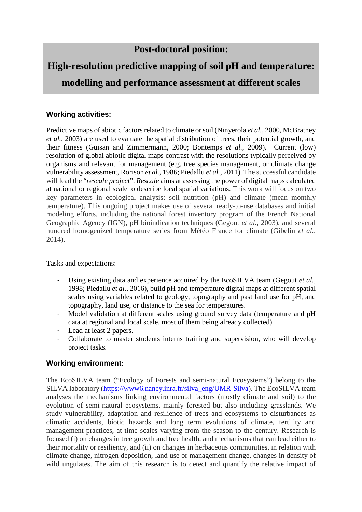## **Post-doctoral position:**

# **High-resolution predictive mapping of soil pH and temperature:**

**modelling and performance assessment at different scales**

#### **Working activities:**

Predictive maps of abiotic factors related to climate or soil (Ninyerola *et al.*, 2000, McBratney *et al.*, 2003) are used to evaluate the spatial distribution of trees, their potential growth, and their fitness (Guisan and Zimmermann, 2000; Bontemps *et al.*, 2009). Current (low) resolution of global abiotic digital maps contrast with the resolutions typically perceived by organisms and relevant for management (e.g. tree species management, or climate change vulnerability assessment, Rorison *et al.*, 1986; Piedallu *et al.*, 2011). The successful candidate will lead the "*rescale project*". *Rescale* aims at assessing the power of digital maps calculated at national or regional scale to describe local spatial variations. This work will focus on two key parameters in ecological analysis: soil nutrition (pH) and climate (mean monthly temperature). This ongoing project makes use of several ready-to-use databases and initial modeling efforts, including the national forest inventory program of the French National Geographic Agency (IGN), pH bioindication techniques (Gegout *et al.*, 2003), and several hundred homogenized temperature series from Météo France for climate (Gibelin *et al.*, 2014).

Tasks and expectations:

- Using existing data and experience acquired by the EcoSILVA team (Gegout et al., 1998; Piedallu *et al.*, 2016), build pH and temperature digital maps at different spatial scales using variables related to geology, topography and past land use for pH, and topography, land use, or distance to the sea for temperatures.
- Model validation at different scales using ground survey data (temperature and pH data at regional and local scale, most of them being already collected).
- Lead at least 2 papers.
- Collaborate to master students interns training and supervision, who will develop project tasks.

### **Working environment:**

The EcoSILVA team ("Ecology of Forests and semi-natural Ecosystems") belong to the SILVA laboratory (https://www6.nancy.inra.fr/silva\_eng/UMR-Silva). The EcoSILVA team analyses the mechanisms linking environmental factors (mostly climate and soil) to the evolution of semi-natural ecosystems, mainly forested but also including grasslands. We study vulnerability, adaptation and resilience of trees and ecosystems to disturbances as climatic accidents, biotic hazards and long term evolutions of climate, fertility and management practices, at time scales varying from the season to the century. Research is focused (i) on changes in tree growth and tree health, and mechanisms that can lead either to their mortality or resiliency, and (ii) on changes in herbaceous communities, in relation with climate change, nitrogen deposition, land use or management change, changes in density of wild ungulates. The aim of this research is to detect and quantify the relative impact of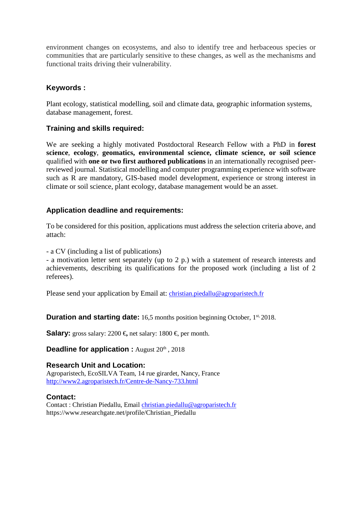environment changes on ecosystems, and also to identify tree and herbaceous species or communities that are particularly sensitive to these changes, as well as the mechanisms and functional traits driving their vulnerability.

#### **Keywords :**

Plant ecology, statistical modelling, soil and climate data, geographic information systems, database management, forest.

#### **Training and skills required:**

We are seeking a highly motivated Postdoctoral Research Fellow with a PhD in **forest science**, **ecology**, **geomatics, environmental science, climate science, or soil science** qualified with **one or two first authored publications** in an internationally recognised peerreviewed journal. Statistical modelling and computer programming experience with software such as R are mandatory, GIS-based model development, experience or strong interest in climate or soil science, plant ecology, database management would be an asset.

#### **Application deadline and requirements:**

To be considered for this position, applications must address the selection criteria above, and attach:

- a CV (including a list of publications)

- a motivation letter sent separately (up to 2 p.) with a statement of research interests and achievements, describing its qualifications for the proposed work (including a list of 2 referees).

Please send your application by Email at: *christian.piedallu@agroparistech.fr* 

**Duration and starting date:** 16,5 months position beginning October, 1<sup>st, 2018.</sup>

**Salary:** gross salary: 2200 €, net salary: 1800 €, per month.

**Deadline for application :** August 20th, 2018

#### **Research Unit and Location:**

Agroparistech, EcoSILVA Team, 14 rue girardet, Nancy, France http://www2.agroparistech.fr/Centre-de-Nancy-733.html

#### **Contact:**

Contact : Christian Piedallu, Email christian.piedallu@agroparistech.fr https://www.researchgate.net/profile/Christian\_Piedallu